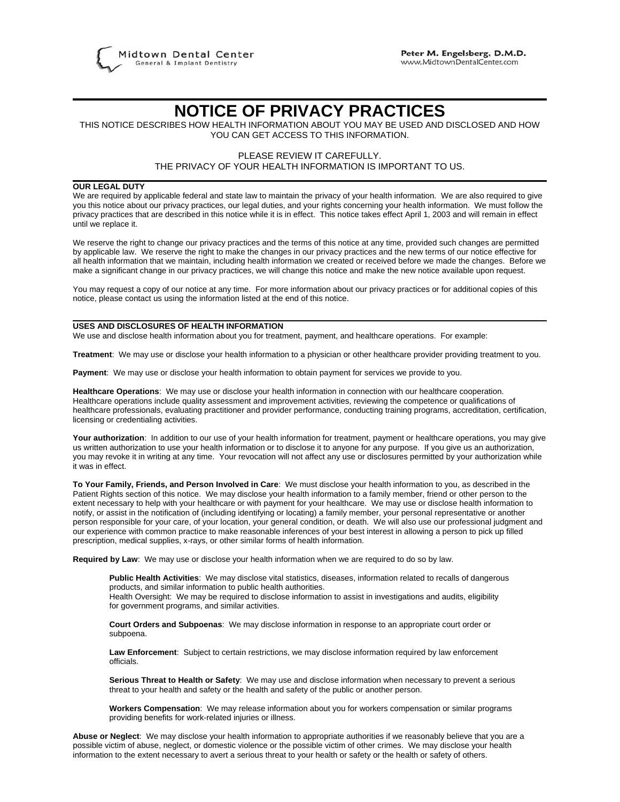

# **NOTICE OF PRIVACY PRACTICES**

THIS NOTICE DESCRIBES HOW HEALTH INFORMATION ABOUT YOU MAY BE USED AND DISCLOSED AND HOW YOU CAN GET ACCESS TO THIS INFORMATION.

## PLEASE REVIEW IT CAREFULLY. THE PRIVACY OF YOUR HEALTH INFORMATION IS IMPORTANT TO US.

#### **OUR LEGAL DUTY**

֦

l,

We are required by applicable federal and state law to maintain the privacy of your health information. We are also required to give you this notice about our privacy practices, our legal duties, and your rights concerning your health information. We must follow the privacy practices that are described in this notice while it is in effect. This notice takes effect April 1, 2003 and will remain in effect until we replace it.

We reserve the right to change our privacy practices and the terms of this notice at any time, provided such changes are permitted by applicable law. We reserve the right to make the changes in our privacy practices and the new terms of our notice effective for all health information that we maintain, including health information we created or received before we made the changes. Before we make a significant change in our privacy practices, we will change this notice and make the new notice available upon request.

You may request a copy of our notice at any time. For more information about our privacy practices or for additional copies of this notice, please contact us using the information listed at the end of this notice.

#### **USES AND DISCLOSURES OF HEALTH INFORMATION**

We use and disclose health information about you for treatment, payment, and healthcare operations. For example:

**Treatment**: We may use or disclose your health information to a physician or other healthcare provider providing treatment to you.

Payment: We may use or disclose your health information to obtain payment for services we provide to you.

**Healthcare Operations**: We may use or disclose your health information in connection with our healthcare cooperation. Healthcare operations include quality assessment and improvement activities, reviewing the competence or qualifications of healthcare professionals, evaluating practitioner and provider performance, conducting training programs, accreditation, certification, licensing or credentialing activities.

Your authorization: In addition to our use of your health information for treatment, payment or healthcare operations, you may give us written authorization to use your health information or to disclose it to anyone for any purpose. If you give us an authorization, you may revoke it in writing at any time. Your revocation will not affect any use or disclosures permitted by your authorization while it was in effect.

**To Your Family, Friends, and Person Involved in Care**: We must disclose your health information to you, as described in the Patient Rights section of this notice. We may disclose your health information to a family member, friend or other person to the extent necessary to help with your healthcare or with payment for your healthcare. We may use or disclose health information to notify, or assist in the notification of (including identifying or locating) a family member, your personal representative or another person responsible for your care, of your location, your general condition, or death. We will also use our professional judgment and our experience with common practice to make reasonable inferences of your best interest in allowing a person to pick up filled prescription, medical supplies, x-rays, or other similar forms of health information.

**Required by Law**: We may use or disclose your health information when we are required to do so by law.

**Public Health Activities**: We may disclose vital statistics, diseases, information related to recalls of dangerous products, and similar information to public health authorities. Health Oversight: We may be required to disclose information to assist in investigations and audits, eligibility for government programs, and similar activities.

**Court Orders and Subpoenas**: We may disclose information in response to an appropriate court order or subpoena.

**Law Enforcement**: Subject to certain restrictions, we may disclose information required by law enforcement officials.

**Serious Threat to Health or Safety**: We may use and disclose information when necessary to prevent a serious threat to your health and safety or the health and safety of the public or another person.

**Workers Compensation**: We may release information about you for workers compensation or similar programs providing benefits for work-related injuries or illness.

**Abuse or Neglect**: We may disclose your health information to appropriate authorities if we reasonably believe that you are a possible victim of abuse, neglect, or domestic violence or the possible victim of other crimes. We may disclose your health information to the extent necessary to avert a serious threat to your health or safety or the health or safety of others.